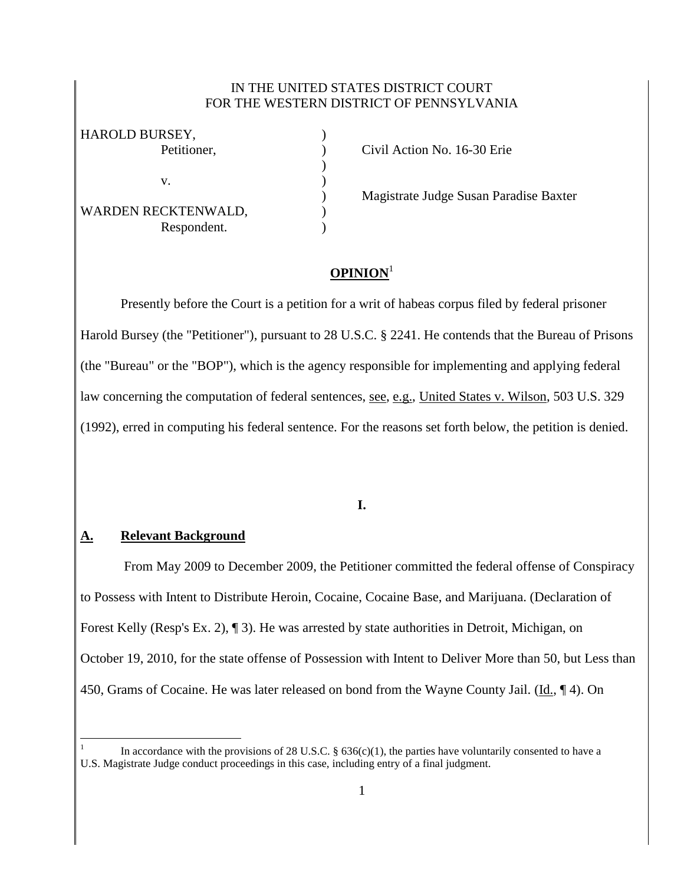### IN THE UNITED STATES DISTRICT COURT FOR THE WESTERN DISTRICT OF PENNSYLVANIA

)

| HAROLD BURSEY,      |  |
|---------------------|--|
| Petitioner,         |  |
|                     |  |
| V.                  |  |
|                     |  |
| WARDEN RECKTENWALD, |  |
| Respondent.         |  |
|                     |  |

Petition No. 16-30 Erie

) Magistrate Judge Susan Paradise Baxter

# **OPINION**<sup>1</sup>

Presently before the Court is a petition for a writ of habeas corpus filed by federal prisoner Harold Bursey (the "Petitioner"), pursuant to 28 U.S.C. § 2241. He contends that the Bureau of Prisons (the "Bureau" or the "BOP"), which is the agency responsible for implementing and applying federal law concerning the computation of federal sentences, see, e.g., United States v. Wilson, 503 U.S. 329 (1992), erred in computing his federal sentence. For the reasons set forth below, the petition is denied.

# **I.**

#### **A. Relevant Background**

 $\overline{a}$ 

From May 2009 to December 2009, the Petitioner committed the federal offense of Conspiracy to Possess with Intent to Distribute Heroin, Cocaine, Cocaine Base, and Marijuana. (Declaration of Forest Kelly (Resp's Ex. 2), ¶ 3). He was arrested by state authorities in Detroit, Michigan, on October 19, 2010, for the state offense of Possession with Intent to Deliver More than 50, but Less than 450, Grams of Cocaine. He was later released on bond from the Wayne County Jail. (Id., ¶ 4). On

<sup>1</sup> In accordance with the provisions of 28 U.S.C.  $\S$  636(c)(1), the parties have voluntarily consented to have a U.S. Magistrate Judge conduct proceedings in this case, including entry of a final judgment.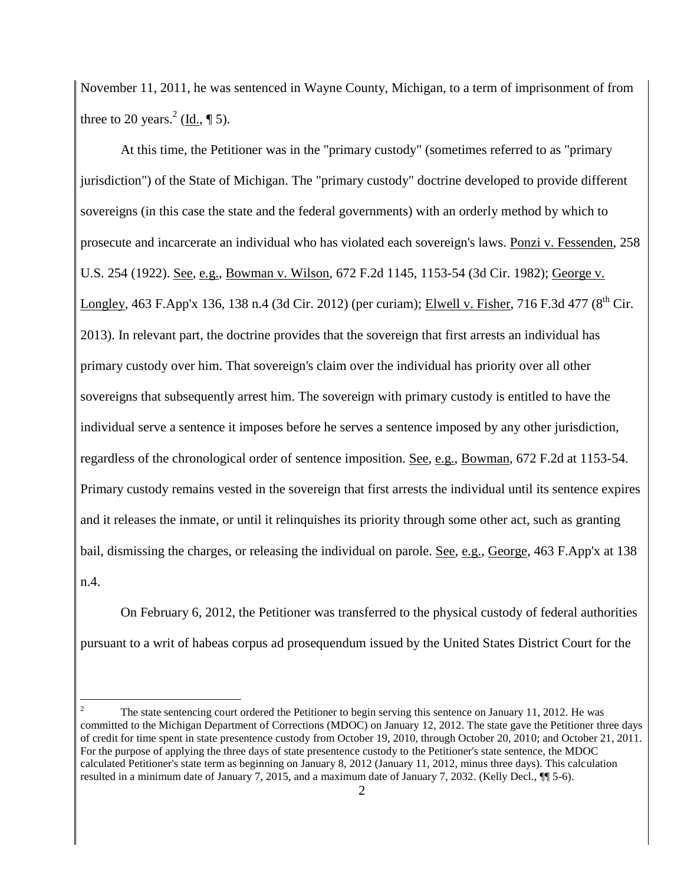November 11, 2011, he was sentenced in Wayne County, Michigan, to a term of imprisonment of from three to 20 years.<sup>2</sup> (<u>Id.</u>, ¶ 5).

At this time, the Petitioner was in the "primary custody" (sometimes referred to as "primary jurisdiction") of the State of Michigan. The "primary custody" doctrine developed to provide different sovereigns (in this case the state and the federal governments) with an orderly method by which to prosecute and incarcerate an individual who has violated each sovereign's laws. Ponzi v. Fessenden, 258 U.S. 254 (1922). See, e.g., Bowman v. Wilson, 672 F.2d 1145, 1153-54 (3d Cir. 1982); George v. Longley, 463 F.App'x 136, 138 n.4 (3d Cir. 2012) (per curiam); Elwell v. Fisher, 716 F.3d 477 ( $8<sup>th</sup>$  Cir. 2013). In relevant part, the doctrine provides that the sovereign that first arrests an individual has primary custody over him. That sovereign's claim over the individual has priority over all other sovereigns that subsequently arrest him. The sovereign with primary custody is entitled to have the individual serve a sentence it imposes before he serves a sentence imposed by any other jurisdiction, regardless of the chronological order of sentence imposition. See, e.g., Bowman, 672 F.2d at 1153-54. Primary custody remains vested in the sovereign that first arrests the individual until its sentence expires and it releases the inmate, or until it relinquishes its priority through some other act, such as granting bail, dismissing the charges, or releasing the individual on parole. See, e.g., George, 463 F.App'x at 138 n.4.

On February 6, 2012, the Petitioner was transferred to the physical custody of federal authorities pursuant to a writ of habeas corpus ad prosequendum issued by the United States District Court for the

 $\overline{a}$ 

<sup>2</sup> The state sentencing court ordered the Petitioner to begin serving this sentence on January 11, 2012. He was committed to the Michigan Department of Corrections (MDOC) on January 12, 2012. The state gave the Petitioner three days of credit for time spent in state presentence custody from October 19, 2010, through October 20, 2010; and October 21, 2011. For the purpose of applying the three days of state presentence custody to the Petitioner's state sentence, the MDOC calculated Petitioner's state term as beginning on January 8, 2012 (January 11, 2012, minus three days). This calculation resulted in a minimum date of January 7, 2015, and a maximum date of January 7, 2032. (Kelly Decl., ¶¶ 5-6).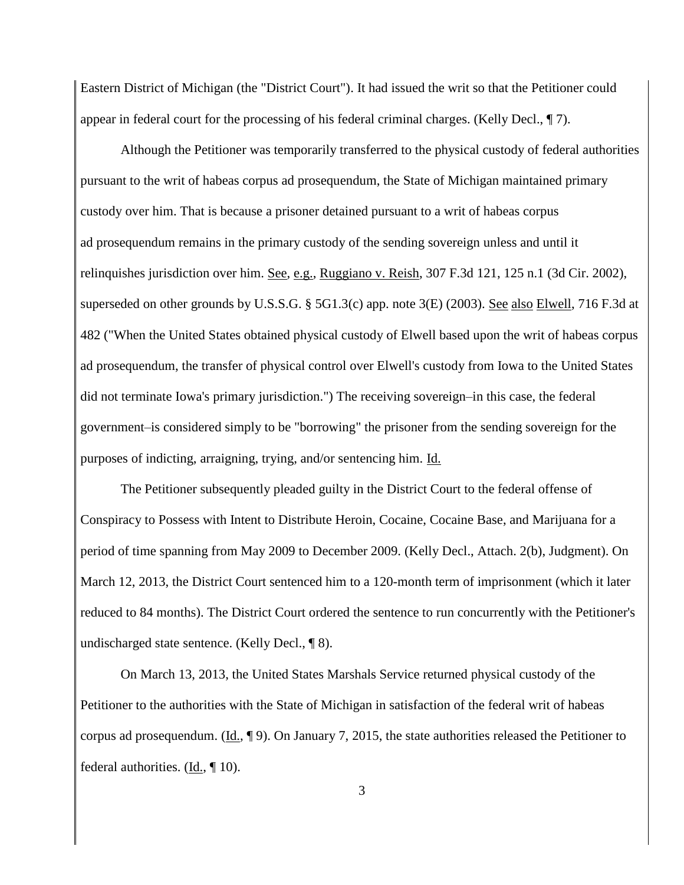Eastern District of Michigan (the "District Court"). It had issued the writ so that the Petitioner could appear in federal court for the processing of his federal criminal charges. (Kelly Decl., ¶ 7).

Although the Petitioner was temporarily transferred to the physical custody of federal authorities pursuant to the writ of habeas corpus ad prosequendum, the State of Michigan maintained primary custody over him. That is because a prisoner detained pursuant to a writ of habeas corpus ad prosequendum remains in the primary custody of the sending sovereign unless and until it relinquishes jurisdiction over him. See, e.g., Ruggiano v. Reish, 307 F.3d 121, 125 n.1 (3d Cir. 2002), superseded on other grounds by U.S.S.G. § 5G1.3(c) app. note 3(E) (2003). <u>See also Elwell</u>, 716 F.3d at 482 ("When the United States obtained physical custody of Elwell based upon the writ of habeas corpus ad prosequendum, the transfer of physical control over Elwell's custody from Iowa to the United States did not terminate Iowa's primary jurisdiction.") The receiving sovereign–in this case, the federal government–is considered simply to be "borrowing" the prisoner from the sending sovereign for the purposes of indicting, arraigning, trying, and/or sentencing him. Id.

The Petitioner subsequently pleaded guilty in the District Court to the federal offense of Conspiracy to Possess with Intent to Distribute Heroin, Cocaine, Cocaine Base, and Marijuana for a period of time spanning from May 2009 to December 2009. (Kelly Decl., Attach. 2(b), Judgment). On March 12, 2013, the District Court sentenced him to a 120-month term of imprisonment (which it later reduced to 84 months). The District Court ordered the sentence to run concurrently with the Petitioner's undischarged state sentence. (Kelly Decl., ¶ 8).

On March 13, 2013, the United States Marshals Service returned physical custody of the Petitioner to the authorities with the State of Michigan in satisfaction of the federal writ of habeas corpus ad prosequendum. (Id., ¶ 9). On January 7, 2015, the state authorities released the Petitioner to federal authorities. (Id., ¶ 10).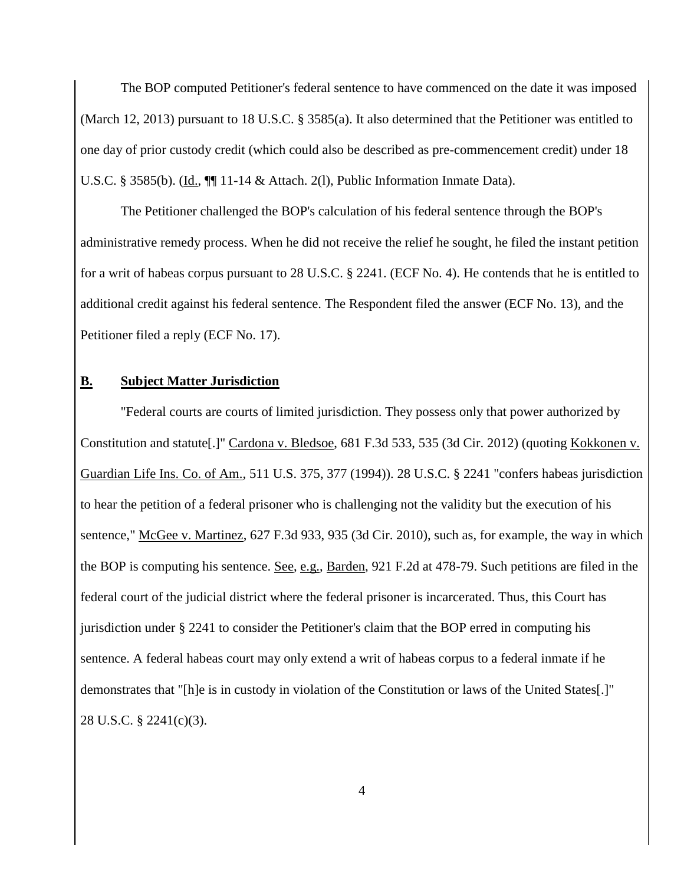The BOP computed Petitioner's federal sentence to have commenced on the date it was imposed (March 12, 2013) pursuant to 18 U.S.C. § 3585(a). It also determined that the Petitioner was entitled to one day of prior custody credit (which could also be described as pre-commencement credit) under 18 U.S.C. § 3585(b). (Id., ¶¶ 11-14 & Attach. 2(l), Public Information Inmate Data).

The Petitioner challenged the BOP's calculation of his federal sentence through the BOP's administrative remedy process. When he did not receive the relief he sought, he filed the instant petition for a writ of habeas corpus pursuant to 28 U.S.C. § 2241. (ECF No. 4). He contends that he is entitled to additional credit against his federal sentence. The Respondent filed the answer (ECF No. 13), and the Petitioner filed a reply (ECF No. 17).

#### **B. Subject Matter Jurisdiction**

"Federal courts are courts of limited jurisdiction. They possess only that power authorized by Constitution and statute[.]" Cardona v. Bledsoe, 681 F.3d 533, 535 (3d Cir. 2012) (quoting Kokkonen v. Guardian Life Ins. Co. of Am., 511 U.S. 375, 377 (1994)). 28 U.S.C. § 2241 "confers habeas jurisdiction to hear the petition of a federal prisoner who is challenging not the validity but the execution of his sentence," McGee v. Martinez, 627 F.3d 933, 935 (3d Cir. 2010), such as, for example, the way in which the BOP is computing his sentence. See, e.g., Barden, 921 F.2d at 478-79. Such petitions are filed in the federal court of the judicial district where the federal prisoner is incarcerated. Thus, this Court has jurisdiction under § 2241 to consider the Petitioner's claim that the BOP erred in computing his sentence. A federal habeas court may only extend a writ of habeas corpus to a federal inmate if he demonstrates that "[h]e is in custody in violation of the Constitution or laws of the United States[.]" 28 U.S.C. § 2241(c)(3).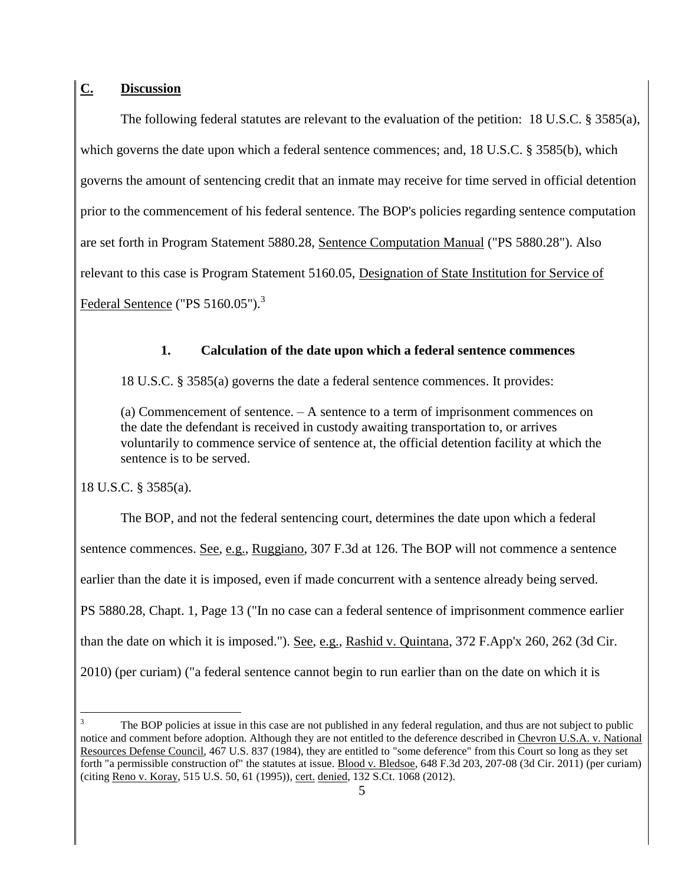# **C. Discussion**

The following federal statutes are relevant to the evaluation of the petition: 18 U.S.C. § 3585(a), which governs the date upon which a federal sentence commences; and, 18 U.S.C. § 3585(b), which governs the amount of sentencing credit that an inmate may receive for time served in official detention prior to the commencement of his federal sentence. The BOP's policies regarding sentence computation are set forth in Program Statement 5880.28, Sentence Computation Manual ("PS 5880.28"). Also relevant to this case is Program Statement 5160.05, Designation of State Institution for Service of Federal Sentence ("PS 5160.05").<sup>3</sup>

### **1. Calculation of the date upon which a federal sentence commences**

18 U.S.C. § 3585(a) governs the date a federal sentence commences. It provides:

(a) Commencement of sentence. – A sentence to a term of imprisonment commences on the date the defendant is received in custody awaiting transportation to, or arrives voluntarily to commence service of sentence at, the official detention facility at which the sentence is to be served.

18 U.S.C. § 3585(a).

 $\overline{a}$ 

The BOP, and not the federal sentencing court, determines the date upon which a federal sentence commences. See, e.g., Ruggiano, 307 F.3d at 126. The BOP will not commence a sentence earlier than the date it is imposed, even if made concurrent with a sentence already being served. PS 5880.28, Chapt. 1, Page 13 ("In no case can a federal sentence of imprisonment commence earlier than the date on which it is imposed."). See, e.g., Rashid v. Quintana, 372 F.App'x 260, 262 (3d Cir. 2010) (per curiam) ("a federal sentence cannot begin to run earlier than on the date on which it is

The BOP policies at issue in this case are not published in any federal regulation, and thus are not subject to public notice and comment before adoption. Although they are not entitled to the deference described in Chevron U.S.A. v. National Resources Defense Council, 467 U.S. 837 (1984), they are entitled to "some deference" from this Court so long as they set forth "a permissible construction of" the statutes at issue. Blood v. Bledsoe, 648 F.3d 203, 207-08 (3d Cir. 2011) (per curiam) (citing Reno v. Koray, 515 U.S. 50, 61 (1995)), cert. denied, 132 S.Ct. 1068 (2012).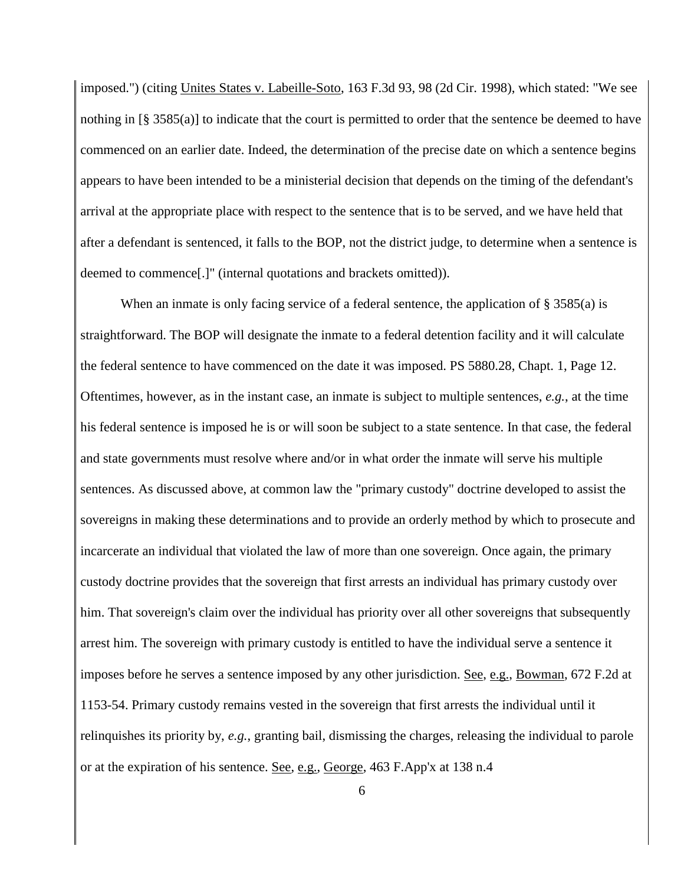imposed.") (citing Unites States v. Labeille-Soto, 163 F.3d 93, 98 (2d Cir. 1998), which stated: "We see nothing in [§ 3585(a)] to indicate that the court is permitted to order that the sentence be deemed to have commenced on an earlier date. Indeed, the determination of the precise date on which a sentence begins appears to have been intended to be a ministerial decision that depends on the timing of the defendant's arrival at the appropriate place with respect to the sentence that is to be served, and we have held that after a defendant is sentenced, it falls to the BOP, not the district judge, to determine when a sentence is deemed to commence[.]" (internal quotations and brackets omitted)).

When an inmate is only facing service of a federal sentence, the application of § 3585(a) is straightforward. The BOP will designate the inmate to a federal detention facility and it will calculate the federal sentence to have commenced on the date it was imposed. PS 5880.28, Chapt. 1, Page 12. Oftentimes, however, as in the instant case, an inmate is subject to multiple sentences, *e.g.*, at the time his federal sentence is imposed he is or will soon be subject to a state sentence. In that case, the federal and state governments must resolve where and/or in what order the inmate will serve his multiple sentences. As discussed above, at common law the "primary custody" doctrine developed to assist the sovereigns in making these determinations and to provide an orderly method by which to prosecute and incarcerate an individual that violated the law of more than one sovereign. Once again, the primary custody doctrine provides that the sovereign that first arrests an individual has primary custody over him. That sovereign's claim over the individual has priority over all other sovereigns that subsequently arrest him. The sovereign with primary custody is entitled to have the individual serve a sentence it imposes before he serves a sentence imposed by any other jurisdiction. See, e.g., Bowman, 672 F.2d at 1153-54. Primary custody remains vested in the sovereign that first arrests the individual until it relinquishes its priority by, *e.g.*, granting bail, dismissing the charges, releasing the individual to parole or at the expiration of his sentence. See, e.g., George, 463 F.App'x at 138 n.4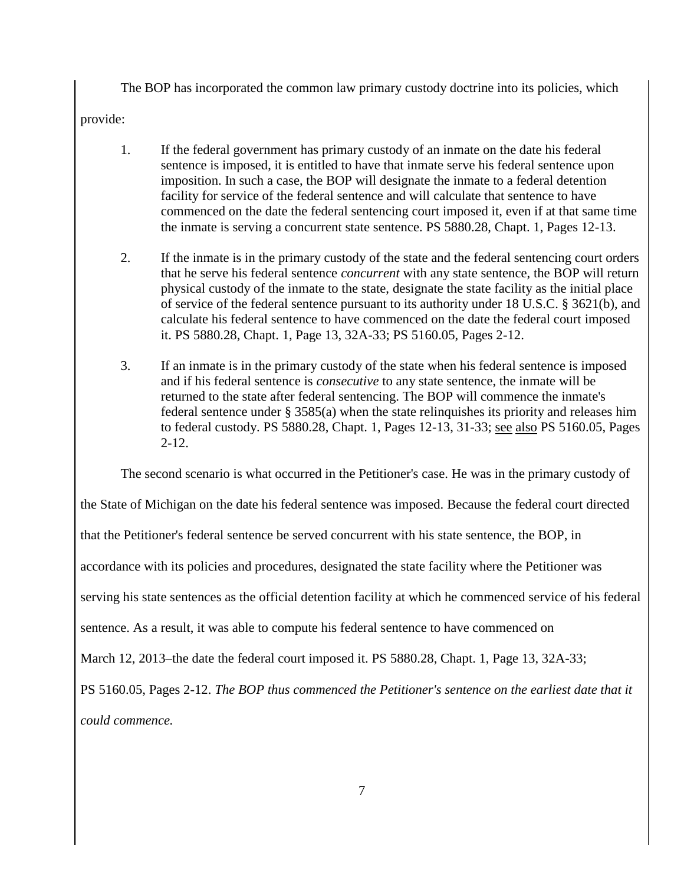The BOP has incorporated the common law primary custody doctrine into its policies, which

provide:

- 1. If the federal government has primary custody of an inmate on the date his federal sentence is imposed, it is entitled to have that inmate serve his federal sentence upon imposition. In such a case, the BOP will designate the inmate to a federal detention facility for service of the federal sentence and will calculate that sentence to have commenced on the date the federal sentencing court imposed it, even if at that same time the inmate is serving a concurrent state sentence. PS 5880.28, Chapt. 1, Pages 12-13.
- 2. If the inmate is in the primary custody of the state and the federal sentencing court orders that he serve his federal sentence *concurrent* with any state sentence, the BOP will return physical custody of the inmate to the state, designate the state facility as the initial place of service of the federal sentence pursuant to its authority under 18 U.S.C. § 3621(b), and calculate his federal sentence to have commenced on the date the federal court imposed it. PS 5880.28, Chapt. 1, Page 13, 32A-33; PS 5160.05, Pages 2-12.
- 3. If an inmate is in the primary custody of the state when his federal sentence is imposed and if his federal sentence is *consecutive* to any state sentence, the inmate will be returned to the state after federal sentencing. The BOP will commence the inmate's federal sentence under § 3585(a) when the state relinquishes its priority and releases him to federal custody. PS 5880.28, Chapt. 1, Pages 12-13, 31-33; see also PS 5160.05, Pages 2-12.

The second scenario is what occurred in the Petitioner's case. He was in the primary custody of

the State of Michigan on the date his federal sentence was imposed. Because the federal court directed

that the Petitioner's federal sentence be served concurrent with his state sentence, the BOP, in

accordance with its policies and procedures, designated the state facility where the Petitioner was

serving his state sentences as the official detention facility at which he commenced service of his federal

sentence. As a result, it was able to compute his federal sentence to have commenced on

March 12, 2013–the date the federal court imposed it. PS 5880.28, Chapt. 1, Page 13, 32A-33;

PS 5160.05, Pages 2-12. *The BOP thus commenced the Petitioner's sentence on the earliest date that it* 

*could commence.*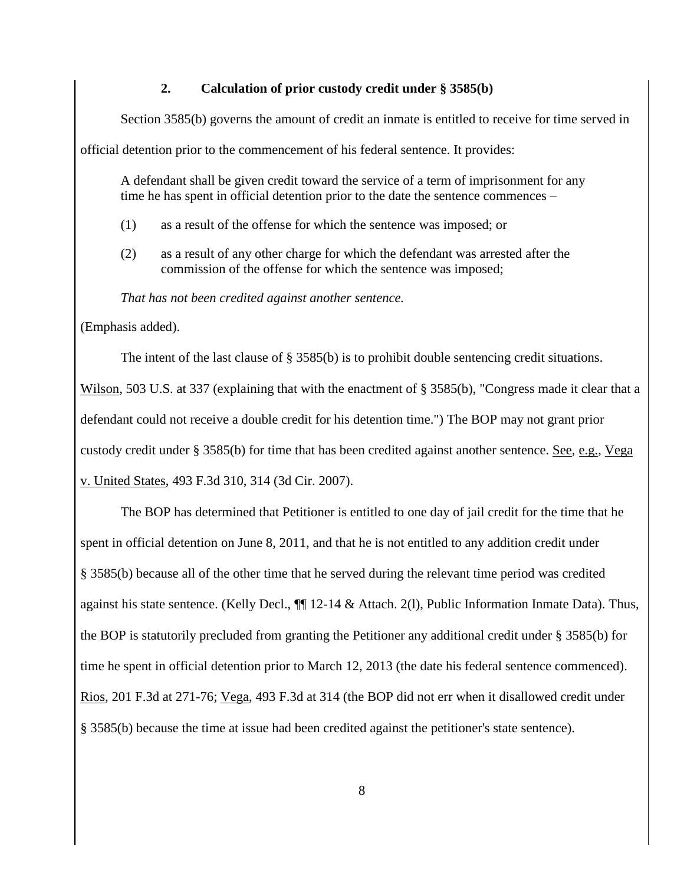#### **2. Calculation of prior custody credit under § 3585(b)**

Section 3585(b) governs the amount of credit an inmate is entitled to receive for time served in

official detention prior to the commencement of his federal sentence. It provides:

A defendant shall be given credit toward the service of a term of imprisonment for any time he has spent in official detention prior to the date the sentence commences –

- (1) as a result of the offense for which the sentence was imposed; or
- (2) as a result of any other charge for which the defendant was arrested after the commission of the offense for which the sentence was imposed;

*That has not been credited against another sentence.* 

(Emphasis added).

The intent of the last clause of § 3585(b) is to prohibit double sentencing credit situations.

Wilson, 503 U.S. at 337 (explaining that with the enactment of § 3585(b), "Congress made it clear that a defendant could not receive a double credit for his detention time.") The BOP may not grant prior custody credit under § 3585(b) for time that has been credited against another sentence. See, e.g., Vega v. United States, 493 F.3d 310, 314 (3d Cir. 2007).

The BOP has determined that Petitioner is entitled to one day of jail credit for the time that he spent in official detention on June 8, 2011, and that he is not entitled to any addition credit under § 3585(b) because all of the other time that he served during the relevant time period was credited against his state sentence. (Kelly Decl.,  $\P$  12-14 & Attach. 2(1), Public Information Inmate Data). Thus, the BOP is statutorily precluded from granting the Petitioner any additional credit under § 3585(b) for time he spent in official detention prior to March 12, 2013 (the date his federal sentence commenced). Rios, 201 F.3d at 271-76; Vega, 493 F.3d at 314 (the BOP did not err when it disallowed credit under § 3585(b) because the time at issue had been credited against the petitioner's state sentence).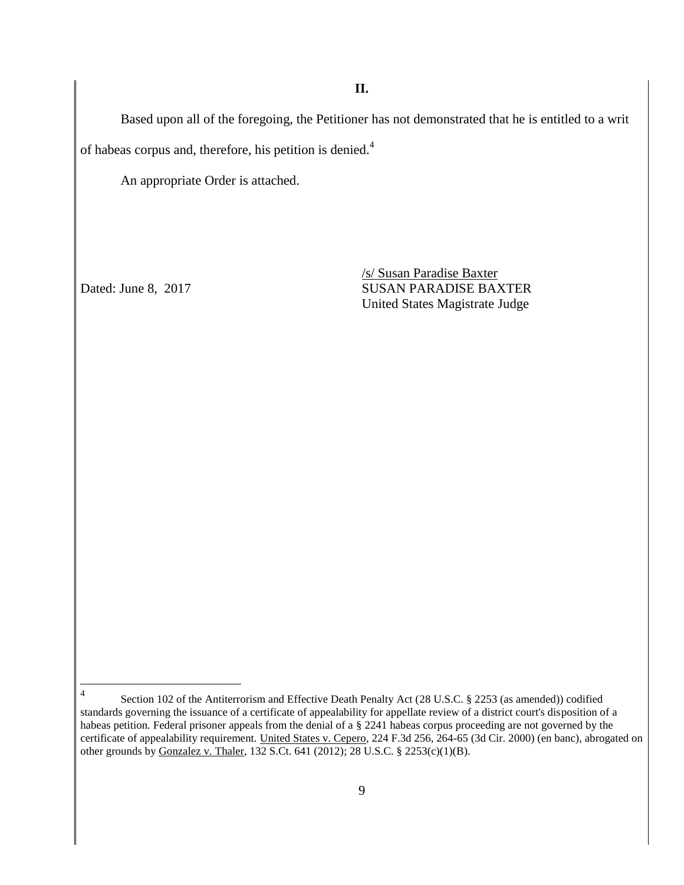Based upon all of the foregoing, the Petitioner has not demonstrated that he is entitled to a writ of habeas corpus and, therefore, his petition is denied.<sup>4</sup>

An appropriate Order is attached.

/s/ Susan Paradise Baxter Dated: June 8, 2017 SUSAN PARADISE BAXTER United States Magistrate Judge

 $\frac{1}{4}$ Section 102 of the Antiterrorism and Effective Death Penalty Act (28 U.S.C. § 2253 (as amended)) codified standards governing the issuance of a certificate of appealability for appellate review of a district court's disposition of a habeas petition. Federal prisoner appeals from the denial of a § 2241 habeas corpus proceeding are not governed by the certificate of appealability requirement. United States v. Cepero, 224 F.3d 256, 264-65 (3d Cir. 2000) (en banc), abrogated on other grounds by Gonzalez v. Thaler, 132 S.Ct. 641 (2012); 28 U.S.C. § 2253(c)(1)(B).